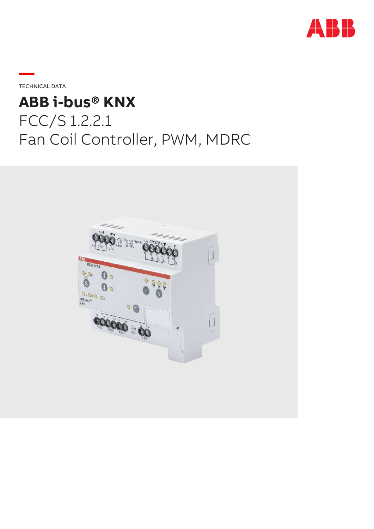

**—**TECHNICAL DATA

# **ABB i-bus® KNX** FCC/S 1.2.2.1 Fan Coil Controller, PWM, MDRC

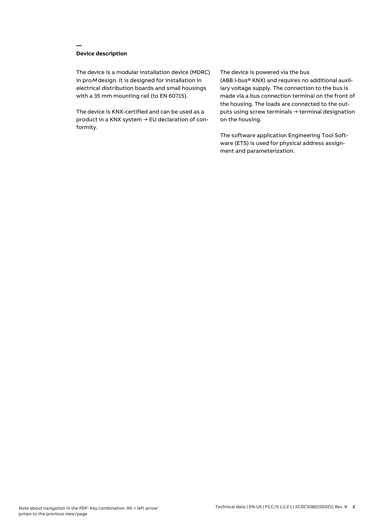## **Device description**

**—**

The device is a modular installation device (MDRC) in proM design. It is designed for installation in electrical distribution boards and small housings with a 35 mm mounting rail (to EN 60715).

The device is KNX-certified and can be used as a product in a KNX system → EU declaration of conformity.

#### The device is powered via the bus

(ABB i-bus® KNX) and requires no additional auxiliary voltage supply. The connection to the bus is made via a bus connection terminal on the front of the housing. The loads are connected to the outputs using screw terminals → terminal designation on the housing.

The software application Engineering Tool Software (ETS) is used for physical address assignment and parameterization.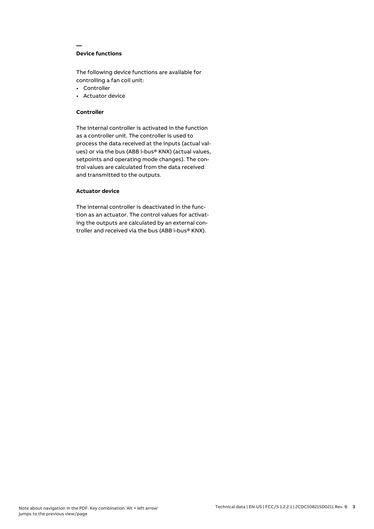## **Device functions**

**—**

The following device functions are available for controlling a fan coil unit:

- Controller
- Actuator device

#### **Controller**

The internal controller is activated in the function as a controller unit. The controller is used to process the data received at the inputs (actual values) or via the bus (ABB i-bus® KNX) (actual values, setpoints and operating mode changes). The control values are calculated from the data received and transmitted to the outputs.

## **Actuator device**

The internal controller is deactivated in the function as an actuator. The control values for activating the outputs are calculated by an external controller and received via the bus (ABB i-bus® KNX).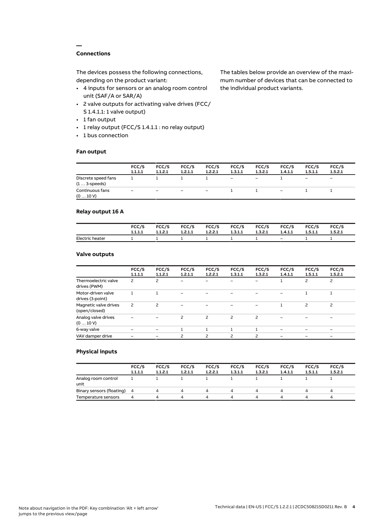## **Connections**

**—**

The devices possess the following connections, depending on the product variant:

- 4 inputs for sensors or an analog room control unit (SAF/A or SAR/A)
- 2 valve outputs for activating valve drives (FCC/ S 1.4.1.1: 1 valve output)
- 1 fan output
- 1 relay output (FCC/S 1.4.1.1 : no relay output)
- 1 bus connection

#### **Fan output**

The tables below provide an overview of the maximum number of devices that can be connected to the individual product variants.

|                                               | FCC/S<br>1.1.1.1 | FCC/S<br>1.1.2.1 | FCC/S<br>1.2.1.1  | FCC/S<br>1.2.2.1         | FCC/S<br>1.3.1.1  | FCC/S<br>1.3.2.1         | FCC/S<br>1.4.1.1         | FCC/S<br>1.5.1.1             | FCC/S<br>1.5.2.1         |
|-----------------------------------------------|------------------|------------------|-------------------|--------------------------|-------------------|--------------------------|--------------------------|------------------------------|--------------------------|
| Discrete speed fans<br>$(1 \ldots 3$ -speeds) |                  |                  |                   |                          | $\qquad \qquad -$ | $\overline{\phantom{m}}$ |                          | $\qquad \qquad \blacksquare$ | $\overline{\phantom{0}}$ |
| Continuous fans<br>(010V)                     | -                | -                | $\qquad \qquad -$ | $\overline{\phantom{a}}$ |                   |                          | $\overline{\phantom{0}}$ |                              |                          |

## **Relay output 16 A**

|                 | FCC/S   | FCC/S   | FCC/S   | <b>FCC/S</b> | <b>FCC/S</b> | FCC/S   | FCC/S   | FCC/S   | FCC/S   |
|-----------------|---------|---------|---------|--------------|--------------|---------|---------|---------|---------|
|                 | 1.1.1.1 | 1.1.2.1 | 1.2.1.1 | 1.2.2.1      | 1.3.1.1      | 1.3.2.1 | 1.4.1.1 | 1.5.1.1 | 1.5.2.1 |
| Electric heater |         |         |         |              |              |         | $-$     |         |         |

## **Valve outputs**

|                                        | FCC/S<br>1.1.1.1 | FCC/S<br>1.1.2.1         | FCC/S<br>1.2.1.1 | FCC/S<br>1.2.2.1 | FCC/S<br>1.3.1.1 | FCC/S<br>1.3.2.1         | FCC/S<br>1.4.1.1 | FCC/S<br>1.5.1.1 | FCC/S<br>1.5.2.1         |  |
|----------------------------------------|------------------|--------------------------|------------------|------------------|------------------|--------------------------|------------------|------------------|--------------------------|--|
| Thermoelectric valve<br>drives (PWM)   | 2                | 2                        | -                |                  |                  |                          |                  | 2                | $\overline{c}$           |  |
| Motor-driven valve<br>drives (3-point) |                  |                          |                  |                  |                  |                          |                  |                  |                          |  |
| Magnetic valve drives<br>(open/closed) | 2                | $\overline{\phantom{0}}$ |                  |                  |                  |                          |                  | $\overline{c}$   | $\overline{c}$           |  |
| Analog valve drives<br>(010V)          |                  |                          | 2                | 2                | $\overline{c}$   | 2                        |                  |                  |                          |  |
| 6-way valve                            |                  |                          |                  |                  |                  |                          |                  |                  | $\overline{\phantom{0}}$ |  |
| VAV damper drive                       |                  |                          | ς                | ς                | $\mathcal{P}$    | $\overline{\phantom{0}}$ |                  |                  |                          |  |
|                                        |                  |                          |                  |                  |                  |                          |                  |                  |                          |  |

### **Physical inputs**

|                             | FCC/S<br>1.1.1.1 | FCC/S<br>1.1.2.1 | FCC/S<br>1.2.1.1 | FCC/S<br>1.2.2.1 | FCC/S<br>1.3.1.1 | FCC/S<br>1.3.2.1 | FCC/S<br>1.4.1.1 | FCC/S<br>1.5.1.1 | FCC/S<br>1.5.2.1 |  |
|-----------------------------|------------------|------------------|------------------|------------------|------------------|------------------|------------------|------------------|------------------|--|
| Analog room control<br>unit |                  |                  |                  |                  |                  |                  |                  |                  |                  |  |
| Binary sensors (floating) 4 |                  |                  | 4                | 4                | 4                | 4                |                  | Δ.               | 4                |  |
| Temperature sensors         | 4                |                  | Δ                | Δ                | ▵                | Δ.               |                  | Δ                | $\mu$            |  |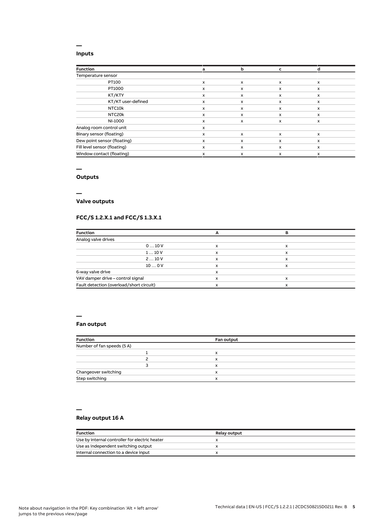### **Inputs**

**—**

| <b>Function</b>              | a | b | c                         |              |
|------------------------------|---|---|---------------------------|--------------|
| Temperature sensor           |   |   |                           |              |
| PT100                        | x | X | $\boldsymbol{\mathsf{x}}$ | $\mathsf{x}$ |
| PT1000                       | x | X | x                         | x            |
| KT/KTY                       | x | x | x                         | x            |
| KT/KT user-defined           | x | x | X                         | $\mathsf{x}$ |
| NTC10k                       | x | x | x                         | x            |
| NTC20k                       | x | x | x                         | x            |
| NI-1000                      | x | x | x                         | x            |
| Analog room control unit     | x |   |                           |              |
| Binary sensor (floating)     | x | X | x                         | $\mathsf{x}$ |
| Dew point sensor (floating)  | x | x | X                         | x            |
| Fill level sensor (floating) | x | X | x                         | $\mathsf{x}$ |
| Window contact (floating)    | x | x | X                         | x            |

#### **—**

# **Outputs**

**—**

## **Valve outputs**

## **FCC/S 1.2.X.1 and FCC/S 1.3.X.1**

| <b>Function</b>                          |   |   |  |
|------------------------------------------|---|---|--|
| Analog valve drives                      |   |   |  |
| 010V                                     | x | x |  |
| 110V                                     | x | x |  |
| 210V                                     | x | x |  |
| 100V                                     | x |   |  |
| 6-way valve drive                        | x |   |  |
| VAV damper drive - control signal        | ᄉ |   |  |
| Fault detection (overload/short circuit) |   |   |  |

#### **—**

**—**

## **Fan output**

| <b>Function</b>            | Fan output |  |
|----------------------------|------------|--|
| Number of fan speeds (5 A) |            |  |
|                            | x          |  |
|                            | x          |  |
|                            | x          |  |
| Changeover switching       | x          |  |
| Step switching             | x          |  |

## **Relay output 16 A**

| <b>Function</b>                                | <b>Relay output</b> |
|------------------------------------------------|---------------------|
| Use by internal controller for electric heater |                     |
| Use as independent switching output            |                     |
| Internal connection to a device input          |                     |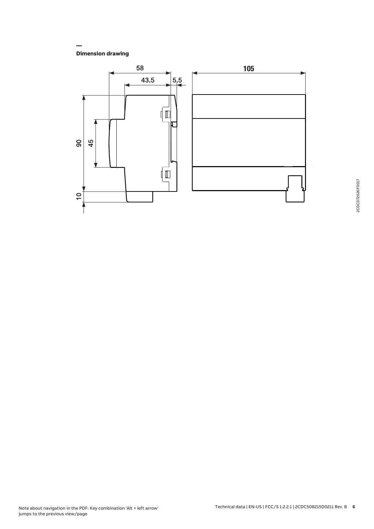**Dimension drawing**

**—**

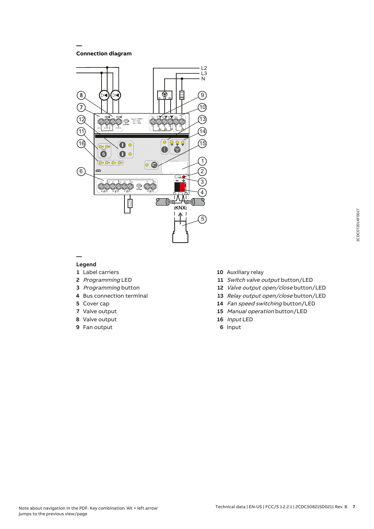**Connection diagram**

**—**



#### **— Legend**

- Label carriers
- Programming LED
- Programming button
- Bus connection terminal
- Cover cap
- Valve output
- Valve output
- Fan output
- Auxiliary relay
- 11 Switch valve output button/LED
- Valve output open/close button/LED
- 13 Relay output open/close button/LED
- Fan speed switching button/LED
- Manual operation button/LED
- Input LED
- Input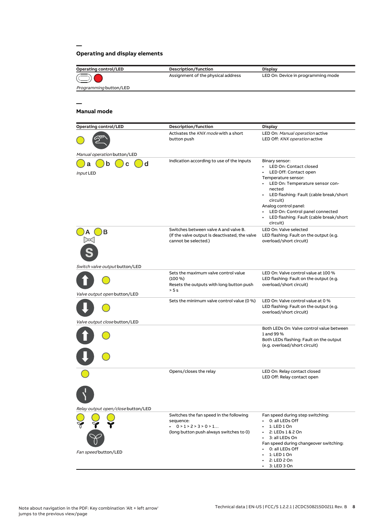# **Operating and display elements**

**—**

| <b>Operating control/LED</b>       | Description/function                                                   | <b>Display</b>                                                           |
|------------------------------------|------------------------------------------------------------------------|--------------------------------------------------------------------------|
|                                    | Assignment of the physical address                                     | LED On: Device in programming mode                                       |
| Programming button/LED             |                                                                        |                                                                          |
|                                    |                                                                        |                                                                          |
|                                    |                                                                        |                                                                          |
| <b>Manual mode</b>                 |                                                                        |                                                                          |
| <b>Operating control/LED</b>       | Description/function                                                   | <b>Display</b>                                                           |
|                                    | Activates the KNX mode with a short                                    | LED On: Manual operation active                                          |
|                                    | button push                                                            | LED Off: KNX operation active                                            |
| Manual operation button/LED        |                                                                        |                                                                          |
| d<br>n<br>a                        | Indication according to use of the inputs                              | Binary sensor:<br>• LED On: Contact closed                               |
| Input LED                          |                                                                        | LED Off: Contact open                                                    |
|                                    |                                                                        | Temperature sensor:<br>LED On: Temperature sensor con-<br>$\bullet$      |
|                                    |                                                                        | nected                                                                   |
|                                    |                                                                        | LED flashing: Fault (cable break/short                                   |
|                                    |                                                                        | circuit)<br>Analog control panel:                                        |
|                                    |                                                                        | LED On: Control panel connected<br>$\bullet$                             |
|                                    |                                                                        | LED flashing: Fault (cable break/short<br>circuit)                       |
| в                                  | Switches between valve A and valve B.                                  | LED On: Valve selected                                                   |
|                                    | (If the valve output is deactivated, the valve<br>cannot be selected.) | LED flashing: Fault on the output (e.g.<br>overload/short circuit)       |
|                                    |                                                                        |                                                                          |
|                                    |                                                                        |                                                                          |
| Switch valve output button/LED     | Sets the maximum valve control value                                   | LED On: Valve control value at 100 %                                     |
|                                    | $(100\%)$<br>Resets the outputs with long button push                  | LED flashing: Fault on the output (e.g.<br>overload/short circuit)       |
| Valve output open button/LED       | > 5 s                                                                  |                                                                          |
|                                    | Sets the minimum valve control value (0 %)                             | LED On: Valve control value at 0 %                                       |
|                                    |                                                                        | LED flashing: Fault on the output (e.g.<br>overload/short circuit)       |
| Valve output close button/LED      |                                                                        |                                                                          |
|                                    |                                                                        | Both LEDs On: Valve control value between                                |
|                                    |                                                                        | 1 and 99 %                                                               |
|                                    |                                                                        | Both LEDs flashing: Fault on the output<br>(e.g. overload/short circuit) |
|                                    |                                                                        |                                                                          |
|                                    |                                                                        |                                                                          |
|                                    | Opens/closes the relay                                                 | LED On: Relay contact closed                                             |
|                                    |                                                                        | LED Off: Relay contact open                                              |
|                                    |                                                                        |                                                                          |
|                                    |                                                                        |                                                                          |
| Relay output open/close button/LED |                                                                        |                                                                          |
|                                    | Switches the fan speed in the following                                | Fan speed during step switching:<br>0: all LEDs Off                      |
|                                    | sequence:<br>$\cdot$ 0 > 1 > 2 > 3 > 0 > 1                             | 1: LED 1 On                                                              |
|                                    | (long button push always switches to 0)                                | 2: LEDs 1 & 2 On                                                         |
|                                    |                                                                        | 3: all LEDs On<br>Fan speed during changeover switching:                 |
| Fan speed button/LED               |                                                                        | 0: all LEDs Off                                                          |
|                                    |                                                                        | 1: LED 1 On<br>2: LED 2 On                                               |
|                                    |                                                                        | 3: LED 3 On                                                              |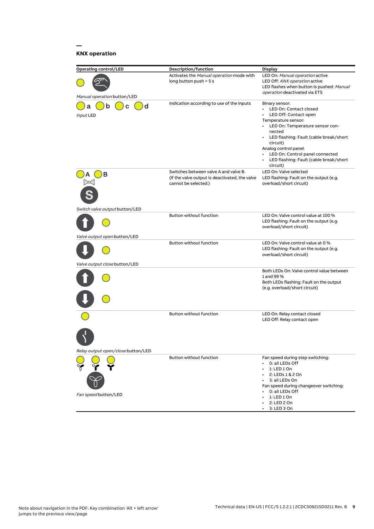# **KNX operation**

**—**

| <b>Operating control/LED</b>       | <b>Description/function</b>                                                                                     | <b>Display</b>                                                                                                                                                                                                                                                                                                                              |
|------------------------------------|-----------------------------------------------------------------------------------------------------------------|---------------------------------------------------------------------------------------------------------------------------------------------------------------------------------------------------------------------------------------------------------------------------------------------------------------------------------------------|
|                                    | Activates the Manual operation mode with<br>long button push > 5 s                                              | LED On: Manual operation active<br>LED Off: KNX operation active<br>LED flashes when button is pushed: Manual<br><i>operation</i> deactivated via ETS                                                                                                                                                                                       |
| Manual operation button/LED        |                                                                                                                 |                                                                                                                                                                                                                                                                                                                                             |
| d<br>b<br>C<br>а<br>Input LED      | Indication according to use of the inputs                                                                       | Binary sensor:<br>LED On: Contact closed<br>LED Off: Contact open<br>Temperature sensor:<br>LED On: Temperature sensor con-<br>$\bullet$<br>nected<br>• LED flashing: Fault (cable break/short<br>circuit)<br>Analog control panel:<br>LED On: Control panel connected<br>$\bullet$<br>• LED flashing: Fault (cable break/short<br>circuit) |
| в                                  | Switches between valve A and valve B.<br>(If the valve output is deactivated, the valve<br>cannot be selected.) | LED On: Valve selected<br>LED flashing: Fault on the output (e.g.<br>overload/short circuit)                                                                                                                                                                                                                                                |
| Switch valve output button/LED     | <b>Button without function</b>                                                                                  | LED On: Valve control value at 100 %<br>LED flashing: Fault on the output (e.g.<br>overload/short circuit)                                                                                                                                                                                                                                  |
| Valve output open button/LED       |                                                                                                                 |                                                                                                                                                                                                                                                                                                                                             |
|                                    | Button without function                                                                                         | LED On: Valve control value at 0 %<br>LED flashing: Fault on the output (e.g.<br>overload/short circuit)                                                                                                                                                                                                                                    |
| Valve output close button/LED      |                                                                                                                 |                                                                                                                                                                                                                                                                                                                                             |
|                                    |                                                                                                                 | Both LEDs On: Valve control value between<br>1 and 99 %<br>Both LEDs flashing: Fault on the output<br>(e.g. overload/short circuit)                                                                                                                                                                                                         |
|                                    | Button without function                                                                                         | LED On: Relay contact closed<br>LED Off: Relay contact open                                                                                                                                                                                                                                                                                 |
|                                    |                                                                                                                 |                                                                                                                                                                                                                                                                                                                                             |
| Relay output open/close button/LED |                                                                                                                 |                                                                                                                                                                                                                                                                                                                                             |
| Fan speed button/LED               | Button without function                                                                                         | Fan speed during step switching:<br>0: all LEDs Off<br>1: LED 1 On<br>2: LEDs 1 & 2 On<br>3: all LEDs On<br>Fan speed during changeover switching:<br>0: all LEDs Off<br>1: LED 1 On                                                                                                                                                        |
|                                    |                                                                                                                 | 2: LED 2 On<br>3: LED 3 On                                                                                                                                                                                                                                                                                                                  |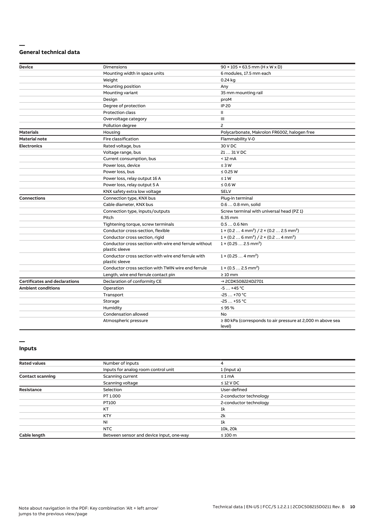#### **— General technical data**

| <b>Device</b>                        | Dimensions                                                              | $90 \times 105 \times 63.5$ mm (H x W x D)                                      |
|--------------------------------------|-------------------------------------------------------------------------|---------------------------------------------------------------------------------|
|                                      | Mounting width in space units                                           | 6 modules, 17.5 mm each                                                         |
|                                      | Weight                                                                  | 0.24 kg                                                                         |
|                                      | Mounting position                                                       | Any                                                                             |
|                                      | Mounting variant                                                        | 35 mm mounting rail                                                             |
|                                      | Design                                                                  | proM                                                                            |
|                                      | Degree of protection                                                    | <b>IP 20</b>                                                                    |
|                                      | Protection class                                                        | Ш                                                                               |
|                                      | Overvoltage category                                                    | Ш                                                                               |
|                                      | Pollution degree                                                        | $\overline{c}$                                                                  |
| <b>Materials</b>                     | Housing                                                                 | Polycarbonate, Makrolon FR6002, halogen free                                    |
| <b>Material note</b>                 | Fire classification                                                     | Flammability V-0                                                                |
| <b>Electronics</b>                   | Rated voltage, bus                                                      | 30 V DC                                                                         |
|                                      | Voltage range, bus                                                      | 21  31 V DC                                                                     |
|                                      | Current consumption, bus                                                | $< 12 \text{ mA}$                                                               |
|                                      | Power loss, device                                                      | $\leq 3 W$                                                                      |
|                                      | Power loss, bus                                                         | $\leq$ 0.25 W                                                                   |
|                                      | Power loss, relay output 16 A                                           | $\leq 1 W$                                                                      |
|                                      | Power loss, relay output 5 A                                            | $\leq 0.6$ W                                                                    |
|                                      | KNX safety extra low voltage                                            | <b>SELV</b>                                                                     |
| <b>Connections</b>                   | Connection type, KNX bus                                                | Plug-in terminal                                                                |
|                                      | Cable diameter, KNX bus                                                 | 0.6  0.8 mm, solid                                                              |
|                                      | Connection type, inputs/outputs                                         | Screw terminal with universal head (PZ 1)                                       |
|                                      | Pitch                                                                   | 6.35 mm                                                                         |
|                                      | Tightening torque, screw terminals                                      | $0.50.6$ Nm                                                                     |
|                                      | Conductor cross-section, flexible                                       | $1 \times (0.2 \ldots 4 \text{ mm}^2) / 2 \times (0.2 \ldots 2.5 \text{ mm}^2)$ |
|                                      | Conductor cross section, rigid                                          | $1 \times (0.2 \ldots 6 \text{ mm}^2) / 2 \times (0.2 \ldots 4 \text{ mm}^2)$   |
|                                      | Conductor cross section with wire end ferrule without<br>plastic sleeve | $1 \times (0.252.5 \text{ mm}^2)$                                               |
|                                      | Conductor cross section with wire end ferrule with<br>plastic sleeve    | $1 \times (0.254 \text{ mm}^2)$                                                 |
|                                      | Conductor cross section with TWIN wire end ferrule                      | $1 \times (0.52.5 \text{ mm}^2)$                                                |
|                                      | Length, wire end ferrule contact pin                                    | $\geq 10$ mm                                                                    |
| <b>Certificates and declarations</b> | Declaration of conformity CE                                            | → 2CDK508224D2701                                                               |
| <b>Ambient conditions</b>            | Operation                                                               | $-5+45$ °C                                                                      |
|                                      | Transport                                                               | $-25+70$ °C                                                                     |
|                                      | Storage                                                                 | $-25+55$ °C                                                                     |
|                                      | Humidity                                                                | $\leq 95 \%$                                                                    |
|                                      | Condensation allowed                                                    | No                                                                              |
|                                      | Atmospheric pressure                                                    | $\geq$ 80 kPa (corresponds to air pressure at 2,000 m above sea<br>level)       |

#### **— Inputs**

| <b>Rated values</b>     | Number of inputs                         | 4                      |  |
|-------------------------|------------------------------------------|------------------------|--|
|                         | Inputs for analog room control unit      | 1 (input a)            |  |
| <b>Contact scanning</b> | Scanning current                         | $\leq 1$ mA            |  |
|                         | Scanning voltage                         | $\leq$ 12 V DC         |  |
| <b>Resistance</b>       | Selection                                | User-defined           |  |
|                         | PT 1.000                                 | 2-conductor technology |  |
|                         | PT100                                    | 2-conductor technology |  |
|                         | KT                                       | 1 <sup>k</sup>         |  |
|                         | <b>KTY</b>                               | 2k                     |  |
|                         | NI                                       | 1 <sup>k</sup>         |  |
|                         | <b>NTC</b>                               | 10k, 20k               |  |
| Cable length            | Between sensor and device input, one-way | $\leq 100$ m           |  |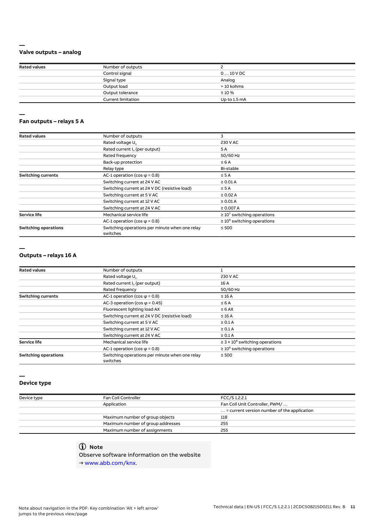## **Valve outputs – analog**

**—**

| <b>Rated values</b> | Number of outputs         |              |  |
|---------------------|---------------------------|--------------|--|
|                     | Control signal            | $010$ V DC   |  |
|                     | Signal type               | Analog       |  |
|                     | Output load               | > 10 kohms   |  |
|                     | Output tolerance          | $± 10 \%$    |  |
|                     | <b>Current limitation</b> | Up to 1.5 mA |  |

#### **— Fan outputs – relays 5 A**

| <b>Rated values</b>         | Number of outputs                                          | 3                                |
|-----------------------------|------------------------------------------------------------|----------------------------------|
|                             | Rated voltage U <sub>n</sub>                               | 230 V AC                         |
|                             | Rated current I <sub>n</sub> (per output)                  | 5 A                              |
|                             | Rated frequency                                            | 50/60 Hz                         |
|                             | Back-up protection                                         | $\leq 6A$                        |
|                             | Relay type                                                 | Bi-stable                        |
| <b>Switching currents</b>   | AC-1 operation (cos $\varphi$ = 0.8)                       | $\leq$ 5 A                       |
|                             | Switching current at 24 V AC                               | $\geq 0.01$ A                    |
|                             | Switching current at 24 V DC (resistive load)              | $\leq$ 5 A                       |
|                             | Switching current at 5 V AC                                | $\geq 0.02$ A                    |
|                             | Switching current at 12 V AC                               | $\geq 0.01$ A                    |
|                             | Switching current at 24 V AC                               | $\geq 0.007 A$                   |
| <b>Service life</b>         | Mechanical service life                                    | $\geq 10^7$ switching operations |
|                             | AC-1 operation (cos $\varphi$ = 0.8)                       | $\geq 10^5$ switching operations |
| <b>Switching operations</b> | Switching operations per minute when one relay<br>switches | $\leq 500$                       |

#### **—**

#### **Outputs – relays 16 A**

| <b>Rated values</b>         | Number of outputs                                          |                                                 |
|-----------------------------|------------------------------------------------------------|-------------------------------------------------|
|                             | Rated voltage U <sub>n</sub>                               | 230 V AC                                        |
|                             | Rated current I <sub>n</sub> (per output)                  | 16 A                                            |
|                             | Rated frequency                                            | 50/60 Hz                                        |
| <b>Switching currents</b>   | AC-1 operation (cos $\varphi$ = 0.8)                       | $\leq 16$ A                                     |
|                             | AC-3 operation (cos $\varphi$ = 0.45)                      | $\leq 6A$                                       |
|                             | Fluorescent lighting load AX                               | $\leq 6$ AX                                     |
|                             | Switching current at 24 V DC (resistive load)              | $\leq 16$ A                                     |
|                             | Switching current at 5 V AC                                | $\geq 0.1$ A                                    |
|                             | Switching current at 12 V AC                               | $\geq 0.1$ A                                    |
|                             | Switching current at 24 V AC                               | $\geq 0.1$ A                                    |
| <b>Service life</b>         | Mechanical service life                                    | $\geq$ 3 × 10 <sup>6</sup> switching operations |
|                             | AC-1 operation (cos $\varphi$ = 0.8)                       | $\geq 10^5$ switching operations                |
| <b>Switching operations</b> | Switching operations per minute when one relay<br>switches | $\leq 500$                                      |

#### **Device type**

**—**

| Device type | Fan Coil Controller               | FCC/S 1.2.2.1                                        |  |
|-------------|-----------------------------------|------------------------------------------------------|--|
|             | Application                       | Fan Coil Unit Controller, PWM/                       |  |
|             |                                   | $\ldots$ = current version number of the application |  |
|             | Maximum number of group objects   | 118                                                  |  |
|             | Maximum number of group addresses | 255                                                  |  |
|             | Maximum number of assignments     | 255                                                  |  |

# **Note**

Observe software information on the website

→ www.abb.com/knx.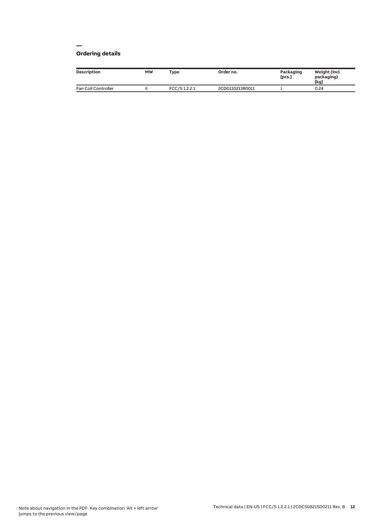#### **— Ordering details**

| Description         | <b>MW</b> | Type         | Order no.       | Packaging<br>[pcs.] | Weight (incl.<br>packaging)<br>[kg] |
|---------------------|-----------|--------------|-----------------|---------------------|-------------------------------------|
| Fan Coil Controller |           | FCC/S1.2.2.1 | 2CDG110213R0011 |                     | 0.24                                |